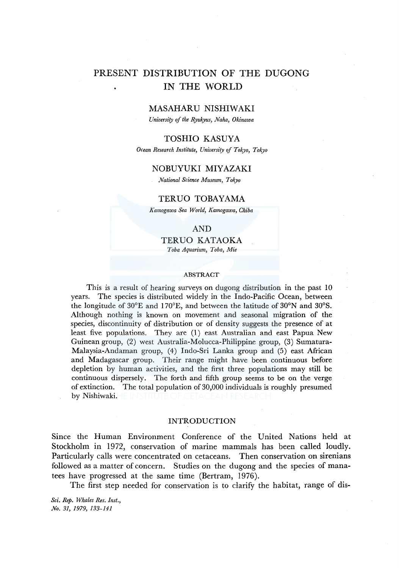# PRESENT DISTRIBUTION OF THE DUGONG IN THE WORLD

## MASAHARU NISHIWAKI

*University of the Ryukyus, Naha, Okinawa* 

# TOSHIO KASUYA

*Ocean Research Institute, University* ef *Tokyo, Tokyo* 

# NOBUYUKI MIYAZAKI

*National Science Museum, Tokyo* 

# *TERVO* TOBAYAMA

*Kamogawa Sea World, Kamogawa, Chiba* 

# AND

*TERVO* KATAOKA *Toba Aquarium, Toba, Mie* 

#### ABSTRACT

This is a result of hearing surveys on dugong distribution in the past 10 years. The species is distributed widely in the Indo-Pacific Ocean, between the longitude of 30°E and l 70°E, and between the latitude of 30°N and 30°S. Although nothing is known on movement and seasonal migration of the species, discontinuity of distribution or of density suggests the presence of at least five populations. They are (1) east Australian and east Papua New Guinean group, (2) west Australia-Molucca-Philippine group, (3) Sumatura-Malaysia-Andaman group, (4) Indo-Sri Lanka group and (5) east African and Madagascar group. Their range might have been continuous before depletion by human activities, and the first three populations may still be continuous dispersely. The forth and fifth group seems to be on the verge of extinction. The total population of 30,000 individuals is roughly presumed by Nishiwaki.

#### INTRODUCTION

Since the Human Environment Conference of the United Nations held at Stockholm in 1972, conservation of marine mammals has been called loudly. Particularly calls were concentrated on cetaceans. Then conservation on sirenians followed as a matter of concern. Studies on the dugong and the species of manatees have progressed at the same time (Bertram, 1976).

The first step needed for conservation is to clarify the habitat, range of dis-

*Sci. Rep. Whales Res. Inst., No. 31, 1979, 133-141*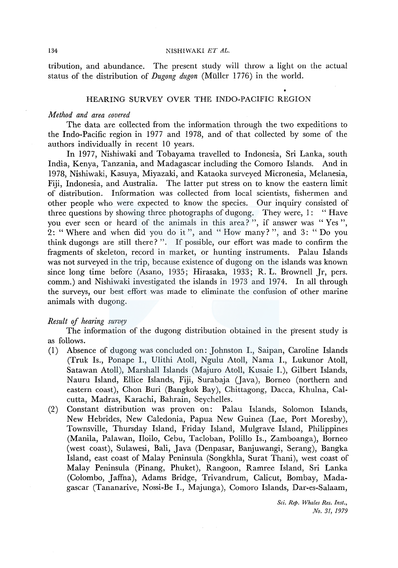#### 134 NISHIWAKI *ET AL.*

tribution, and abundance. The present study will throw a light on the actual status of the distribution of *Dugong dugon* (Muller 1776) in the world.

## HEARING SURVEY OVER THE INDO-PACIFIC REGION

## *Method and area covered*

The data are collected from the information through the two expeditions to the Indo-Pacific region in 1977 and 1978, and of that collected by some of the authors individually in recent 10 years.

In 1977, Nishiwaki and Tobayama travelled to Indonesia, Sri Lanka, south India, Kenya, Tanzania, and Madagascar including the Comoro Islands. And in 1978, Nishiwaki, Kasuya, Miyazaki, and Kataoka surveyed Micronesia, Melanesia, Fiji, Indonesia, and Australia. The latter put stress on to know the eastern limit of distribution. Information was collected from local scientists, fishermen and other people who were expected to know the species. Our inquiry consisted of three questions by showing three photographs of dugong. They were, 1: "Have you ever seen or heard of the animals in this area?", if answer was "Yes", 2: " Where and when did you do it", and " How many? ", and 3: " Do you think dugongs are still there? ". If possible, our effort was made to confirm the fragments of skeleton, record in market, or hunting instruments. Palau Islands was not surveyed in the trip, because existence of dugong on the islands was known since long time before (Asano, 1935; Hirasaka, 1933; R. L. Brownell Jr, pers. comm.) and Nishiwaki investigated the islands in 1973 and 1974. In all through the surveys, our best effort was made to eliminate the confusion of other marine animals with dugong.

# *Result of hearing survey*

The information of the dugong distribution obtained in the present study is as follows.

- (I) Absence of dugong was concluded on: Johnston I., Saipan, Caroline Islands (Truk Is., Ponape I., Ulithi Atoll, Ngulu Atoll, Nama I., Lukunor Atoll, Satawan Atoll), Marshall Islands (Majuro Atoll, Kusaie I.), Gilbert Islands, Nauru Island, Ellice Islands, Fiji, Surabaja (Java), Borneo (northern and eastern coast), Chon Buri (Bangkok Bay), Chittagong, Dacca, Khulna, Calcutta, Madras, Karachi, Bahrain, Seychelles.
- (2) Constant distribution was proven on: Palau Islands, Solomon Islands, New Hebrides, New Caledonia, Papua New Guinea (Lae, Port Moresby), Townsville, Thursday Island, Friday Island, Mulgrave Island, Philippines (Manila, Palawan, Iloilo, Cebu, Tacloban, Polillo Is., Zamboanga), Borneo (west coast), Sulawesi, Bali, Java (Denpasar, Banjuwangi, Serang), Bangka Island, east coast of Malay Peninsula (Songkhla, Surat Thani), west coast of Malay Peninsula (Pinang, Phuket), Rangoon, Ramree Island, Sri Lanka (Colombo, Jaffna), Adams Bridge, Trivandrum, Calicut, Bombay, Madagascar (Tananarive, Nossi-Be I., Majunga), Comoro Islands, Dar-es-Salaam,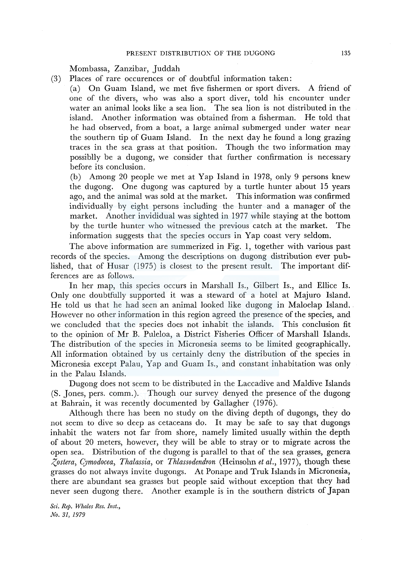Mombassa, Zanzibar, Juddah

- (3) Places of rare occurences or of doubtful information taken:
	- (a) On Guam Island, we met five fishermen or sport divers. A friend of one of the divers, who was also a sport diver, told his encounter under water an animal looks like a sea lion. The sea lion is not distributed in the island. Another information was obtained from a fisherman. He told that he had observed, from a boat, a large animal submerged under water near the southern tip of Guam Island. In the next day he found a long grazing traces in the sea grass at that position. Though the two information may possiblly be a dugong, we consider that further confirmation is necessary before its conclusion.

(b) Among 20 people we met at Yap Island in 1978, only 9 persons knew the dugong. One dugong was captured by a turtle hunter about 15 years ago, and the animal was sold at the market. This information was confirmed individually by eight persons including the hunter and a manager of the market. Another invididual was sighted in 1977 while staying at the bottom by the turtle hunter who witnessed the previous catch at the market. The information suggests that the species occurs in Yap coast very seldom.

The above information are summerized in Fig. 1, together with various past records of the species. Among the descriptions on dugong distribution ever published, that of Husar  $(1975)$  is closest to the present result. The important differences are as follows.

In her map, this species occurs in Marshall Is., Gilbert Is., and Ellice Is. Only one doubtfully supported it was a steward of a hotel at Majuro Island. He told us that he had seen an animal looked like dugong in Maloelap Island. However no other information in this region agreed the presence of the species, and we concluded that the species does not inhabit the islands. This conclusion fit to the opinion of Mr B. Puleloa, a District Fisheries Officer of Marshall Islands. The distribution of the species in Micronesia seems to be limited geographically. All information obtained by us certainly deny the distribution of the species in Micronesia except Palau, Yap and Guam Is., and constant inhabitation was only in the Palau Islands.

Dugong does not seem to be distributed in the Laccadive and Maldive Islands (S. Jones, pers. comm.). Though our survey denyed the presence of the dugong at Bahrain, it was recently documented by Gallagher (1976).

Although there has been no study on the diving depth of dugongs, they do not seem to dive so deep as cetaceans do. It may be safe to say that dugongs inhabit the waters not far from shore, namely limited usually within the depth of about 20 meters, however, they will be able to stray or to migrate across the open sea. Distribution of the dugong is parallel to that of the sea grasses, genera  $\zeta$ ostera, Cymodocea, Thalassia, or *Thlassodendron* (Heinsohn et al., 1977), though these grasses do not always invite dugongs. At Ponape and Truk Islands in Micronesia, there are abundant sea grasses but people said without exception that they had never seen dugong there. Another example is in the southern districts of Japan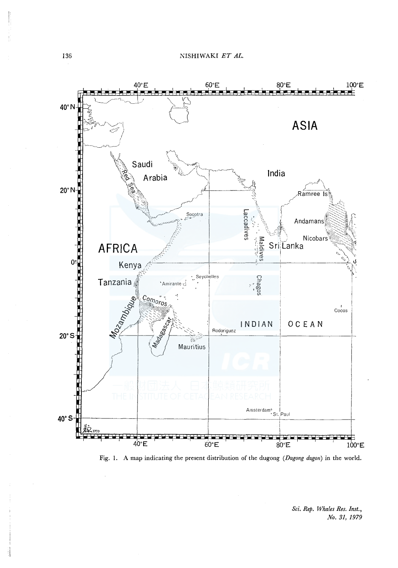

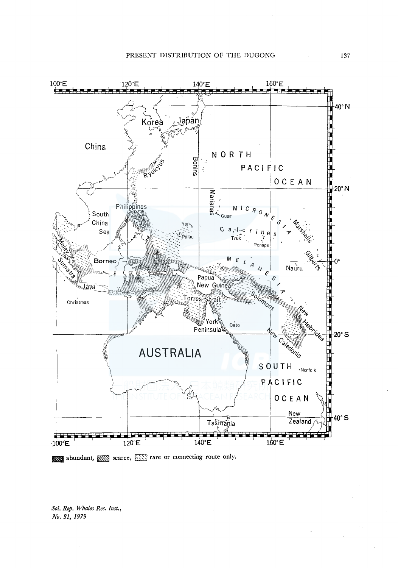

abundant, SSS scarce, SSSS rare or connecting route only.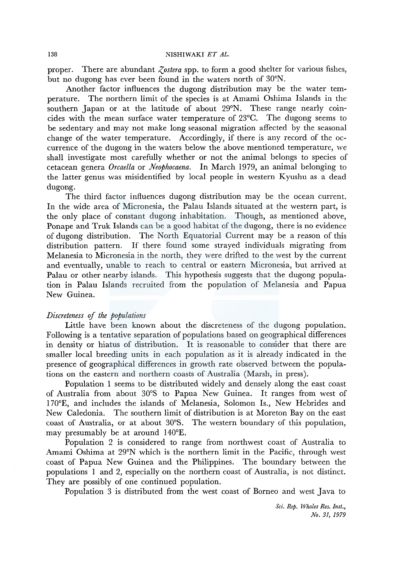#### 138 NISHIWAKI *ET AL.*

proper. There are abundant *Zostera* spp. to form a good shelter for various fishes, but no dugong has ever been found in the waters north of 30°N.

Another factor influences the dugong distribution may be the water temperature. The northern limit of the species is at Amami Oshima Islands in the southern Japan or at the latitude of about 29°N. These range nearly coincides with the mean surface water temperature of 23°C. The dugong seems to be sedentary and may not make long seasonal migration affected by the seasonal change of the water temperature. Accordingly, if there is any record of the occurrence of the dugong in the waters below the above mentioned temperature, we shall investigate most carefully whether or not the animal belongs to species of cetacean genera *Orcaella* or *Neophocaena.* In March 1979, an animal belonging to the latter genus was misidentified by local people in western Kyushu as a dead dugong.

The third factor influences dugong distribution may be the ocean current. In the wide area of Micronesia, the Palau Islands situated at the western part, is the only place of constant dugong inhabitation. Though, as mentioned above, Ponape and Truk Islands can be a good habitat of the dugong, there is no evidence of dugong distribution. The North Equatorial Current may be a reason of this distribution pattern. If there found some strayed individuals migrating from Melanesia to Micronesia in the north, they were drifted to the west by the current and eventually, unable to reach to central or eastern Micronesia, but arrived at Palau or other nearby islands. This hypothesis suggests that the dugong population in Palau Islands recruited from the population of Melanesia and Papua New Guinea.

## *Discreteness* ef *the populations*

Little have been known about the discreteness of the dugong population. Following is a tentative separation of populations based on geographical differences in density or hiatus of distribution. It is reasonable to consider that there are smaller local breeding units in each population as it is already indicated in the presence of geographical differences in growth rate observed between the populations on the eastern and northern coasts of Australia (Marsh, in press).

Population 1 seems to be distributed widely and densely along the east coast of Australia from about 30°S to Papua New Guinea. It ranges from west of l 70°E, and includes the islands of Melanesia, Solomon Is., New Hebrides and New Caledonia. The southern limit of distribution is at Moreton Bay on the east coast of Australia, or at about 30°S. The western boundary of this population, may presumably be at around 140°E.

Population 2 is considered to range from northwest coast of Australia to Amami Oshima at 29°N which is the northern limit in the Pacific, through west coast of Papua New Guinea and the Philippines. The boundary between the populations 1 and 2, especially on the northern coast of Australia, is not distinct. They are possibly of one continued population.

Population 3 is distributed from the west coast of Borneo and west Java to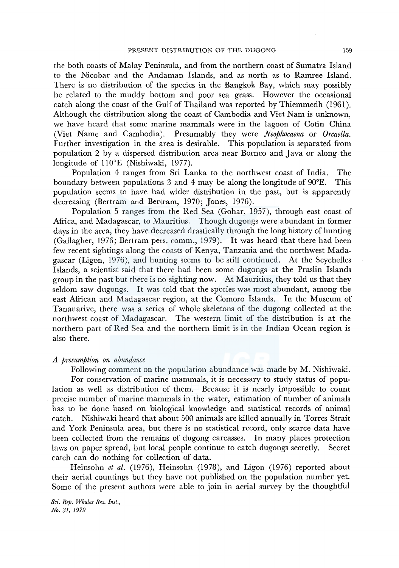the both coasts of Malay Peninsula, and from the northern coast of Sumatra Island to the Nicobar and the Andaman Islands, and as north as to Ramree Island. There is no distribution of the species in the Bangkok Bay, which may possibly be related to the muddy bottom and poor sea grass. However the occasional catch along the coast of the Gulf of Thailand was reported by Thiemmedh (1961 ). Although the distribution along the coast of Cambodia and Viet Nam is unknown, we have heard that some marine mammals were in the lagoon of Cotin China (Viet Name and Cambodia). Presumably they were *Neophocaena* or *Orcaella.*  Further investigation in the area is desirable. This population is separated from population 2 by a dispersed distribution area near Borneo and Java or along the longitude of 110°E (Nishiwaki, 1977).

Population 4 ranges from Sri Lanka to the northwest coast of India. The boundary between populations 3 and 4 may be along the longitude of 90°E. This population seems to have had wider distribution in the past, but is apparently decreasing (Bertram and Bertram, 1970; Jones, 1976).

Population 5 ranges from the Red Sea (Gohar, 1957), through east coast of Africa, and Madagascar, to Mauritius. Though dugongs were abundant in former days in the area, they have decreased drastically through the long history of hunting (Gallagher, 1976; Bertram pers. comm., 1979). It was heard that there had been few recent sightings along the coasts of Kenya, Tanzania and the northwest Madagascar (Ligon, 1976), and hunting seems to be still continued. At the Seychelles Islands, a scientist said that there had been some dugongs at the Praslin Islands group in the past but there is no sighting now. At Mauritius, they told us that they seldom saw dugongs. It was told that the species was most abundant, among the east African and Madagascar region, at the Comoro Islands. In the Museum of Tananarive, there was a series of whole skeletons of the dugong collected at the northwest coast of Madagascar. The western limit of the distribution is at the northern part of Red Sea and the northern limit is in the Indian Ocean region is also there.

#### *A presumption on abundance*

Following comment on the population abundance was made by M. Nishiwaki. For conservation of marine mammals, it is necessary to study status of population as well as distribution of them. Because it is nearly impossible to count precise number of marine mammals in the water, estimation of number of animals has to be done based on biological knowledge and statistical records of animal catch. Nishiwaki heard that about 500 animals are killed annually in Torres Strait and York Peninsula area, but there is no statistical record, only scarce data have been collected from the remains of dugong carcasses. In many places protection laws on paper spread, but local people continue to catch dugongs secretly. Secret catch can do nothing for collection of data.

Heinsohn *et al.* (1976), Heinsohn (1978), and Ligon (1976) reported about their aerial countings but they have not published on the population number yet. Some of the present authors were able to join in aerial survey by the thoughtful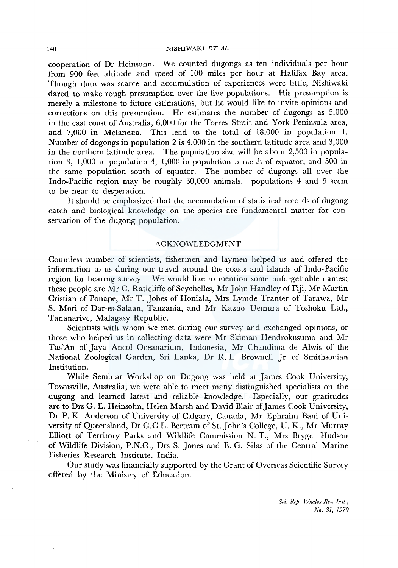## 140 NISHIWAKI ET AL.

cooperation of Dr Heinsohn. We counted dugongs as ten individuals per hour from 900 feet altitude and speed of 100 miles per hour at Halifax Bay area. Though data was scarce and accumulation of experiences were little, Nishiwaki dared to make rough presumption over the five populations. His presumption is merely a milestone to future estimations, but he would like to invite opinions and corrections on this presumtion. He estimates the number of dugongs as 5,000 in the east coast of Australia, 6,000 for the Torres Strait and York Peninsula area, and 7,000 in Melanesia. This lead to the total of 18,000 in population 1. Number of dogongs in population 2 is 4,000 in the southern latitude area and 3,000 in the northern latitude area. The population size will be about 2,500 in population 3, 1,000 in population 4, 1,000 in population 5 north of equator, and 500 in the same population south of equator. The number of dugongs all over the lndo-Pacific region may be roughly 30,000 animals. populations 4 and 5 seem to be near to desperation.

It should be emphasized that the accumulation of statistical records of dugong catch and biological knowledge on the species are fundamental matter for conservation of the dugong population.

## ACKNOWLEDGMENT

Countless number of scientists, fishermen and laymen helped us and offered the information to us during our travel around the coasts and islands of lndo-Pacific region for hearing survey. We would like to mention some unforgettable names; these people are Mr C. Raticliffe of Seychelles, Mr John Handley of Fiji, Mr Martin Cristian of Ponape, Mr T. Johes of Honiala, Mrs Lymde Tranter of Tarawa, Mr S. Mori of Dar-es-Salaan, Tanzania, and Mr Kazuo Uemura of Toshoku Ltd., Tananarive, Malagasy Republic.

Scientists with whom we met during our survey and exchanged opinions, or those who helped us in collecting data were Mr Skiman Hendrokusumo and Mr Tas' An of Jaya Ancol Oceanarium, Indonesia, Mr Chandima de Alwis of the National Zoological Garden, Sri Lanka, Dr R. L. Brownell Jr of Smithsonian Institution.

While Seminar Workshop on Dugong was held at James Cook University, Townsville, Australia, we were able to meet many distinguished specialists on the dugong and learned latest and reliable knowledge. Especially, our gratitudes are to Drs G. E. Heinsohn, Helen Marsh and David Blair of James Cook University, Dr P. K. Anderson of University of Calgary, Canada, Mr Ephraim Bani of University of Queensland, Dr G.C.L. Bertram of St.John's College, U. K., Mr Murray Elliott of Territory Parks and Wildlife Commission N. T., Mrs Bryget Hudson of Wildlife Division, P.N.G., Drs S. Jones and E. G. Silas of the Central Marine Fisheries Research Institute, India.

Our study was financially supported by the Grant of Overseas Scientific Survey offered by the Ministry of Education.